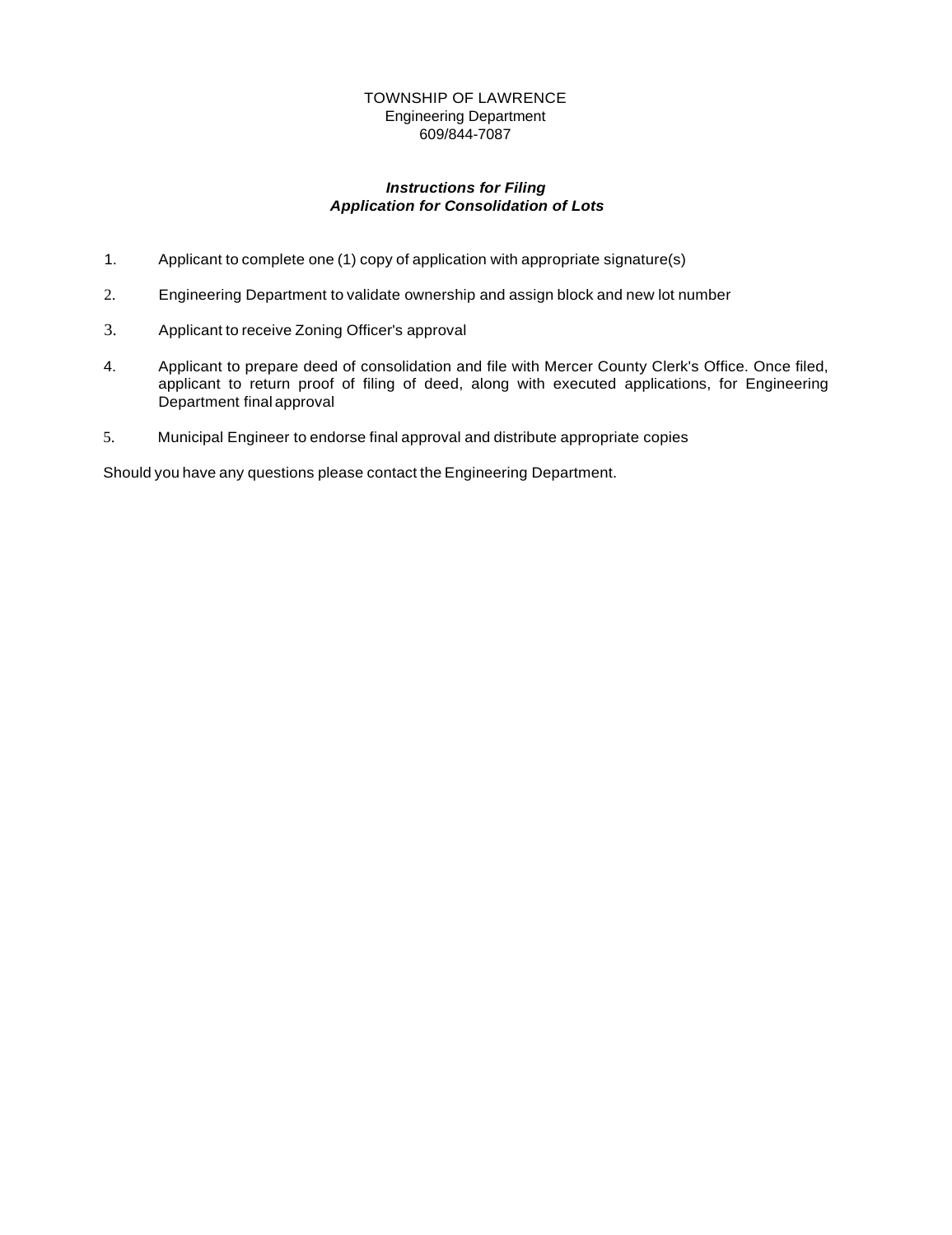#### TOWNSHIP OF LAWRENCE Engineering Department 609/844-7087

#### *Instructions for Filing Application for Consolidation of Lots*

- 1. Applicant to complete one (1) copy of application with appropriate signature(s)
- 2. Engineering Department to validate ownership and assign block and new lot number
- 3. Applicant to receive Zoning Officer's approval
- 4. Applicant to prepare deed of consolidation and file with Mercer County Clerk's Office. Once filed, applicant to return proof of filing of deed, along with executed applications, for Engineering Department final approval
- 5. Municipal Engineer to endorse final approval and distribute appropriate copies

Should you have any questions please contact the Engineering Department.